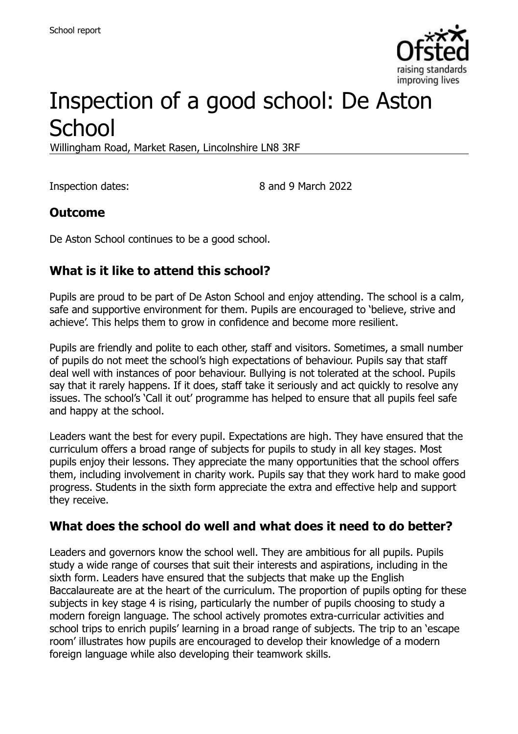

# Inspection of a good school: De Aston **School**

Willingham Road, Market Rasen, Lincolnshire LN8 3RF

Inspection dates: 8 and 9 March 2022

#### **Outcome**

De Aston School continues to be a good school.

## **What is it like to attend this school?**

Pupils are proud to be part of De Aston School and enjoy attending. The school is a calm, safe and supportive environment for them. Pupils are encouraged to 'believe, strive and achieve'. This helps them to grow in confidence and become more resilient.

Pupils are friendly and polite to each other, staff and visitors. Sometimes, a small number of pupils do not meet the school's high expectations of behaviour. Pupils say that staff deal well with instances of poor behaviour. Bullying is not tolerated at the school. Pupils say that it rarely happens. If it does, staff take it seriously and act quickly to resolve any issues. The school's 'Call it out' programme has helped to ensure that all pupils feel safe and happy at the school.

Leaders want the best for every pupil. Expectations are high. They have ensured that the curriculum offers a broad range of subjects for pupils to study in all key stages. Most pupils enjoy their lessons. They appreciate the many opportunities that the school offers them, including involvement in charity work. Pupils say that they work hard to make good progress. Students in the sixth form appreciate the extra and effective help and support they receive.

#### **What does the school do well and what does it need to do better?**

Leaders and governors know the school well. They are ambitious for all pupils. Pupils study a wide range of courses that suit their interests and aspirations, including in the sixth form. Leaders have ensured that the subjects that make up the English Baccalaureate are at the heart of the curriculum. The proportion of pupils opting for these subjects in key stage 4 is rising, particularly the number of pupils choosing to study a modern foreign language. The school actively promotes extra-curricular activities and school trips to enrich pupils' learning in a broad range of subjects. The trip to an 'escape room' illustrates how pupils are encouraged to develop their knowledge of a modern foreign language while also developing their teamwork skills.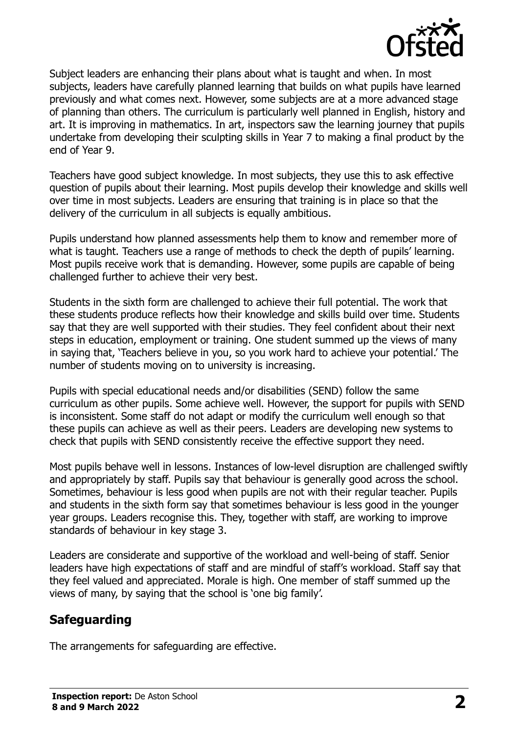

Subject leaders are enhancing their plans about what is taught and when. In most subjects, leaders have carefully planned learning that builds on what pupils have learned previously and what comes next. However, some subjects are at a more advanced stage of planning than others. The curriculum is particularly well planned in English, history and art. It is improving in mathematics. In art, inspectors saw the learning journey that pupils undertake from developing their sculpting skills in Year 7 to making a final product by the end of Year 9.

Teachers have good subject knowledge. In most subjects, they use this to ask effective question of pupils about their learning. Most pupils develop their knowledge and skills well over time in most subjects. Leaders are ensuring that training is in place so that the delivery of the curriculum in all subjects is equally ambitious.

Pupils understand how planned assessments help them to know and remember more of what is taught. Teachers use a range of methods to check the depth of pupils' learning. Most pupils receive work that is demanding. However, some pupils are capable of being challenged further to achieve their very best.

Students in the sixth form are challenged to achieve their full potential. The work that these students produce reflects how their knowledge and skills build over time. Students say that they are well supported with their studies. They feel confident about their next steps in education, employment or training. One student summed up the views of many in saying that, 'Teachers believe in you, so you work hard to achieve your potential.' The number of students moving on to university is increasing.

Pupils with special educational needs and/or disabilities (SEND) follow the same curriculum as other pupils. Some achieve well. However, the support for pupils with SEND is inconsistent. Some staff do not adapt or modify the curriculum well enough so that these pupils can achieve as well as their peers. Leaders are developing new systems to check that pupils with SEND consistently receive the effective support they need.

Most pupils behave well in lessons. Instances of low-level disruption are challenged swiftly and appropriately by staff. Pupils say that behaviour is generally good across the school. Sometimes, behaviour is less good when pupils are not with their regular teacher. Pupils and students in the sixth form say that sometimes behaviour is less good in the younger year groups. Leaders recognise this. They, together with staff, are working to improve standards of behaviour in key stage 3.

Leaders are considerate and supportive of the workload and well-being of staff. Senior leaders have high expectations of staff and are mindful of staff's workload. Staff say that they feel valued and appreciated. Morale is high. One member of staff summed up the views of many, by saying that the school is 'one big family'.

## **Safeguarding**

The arrangements for safeguarding are effective.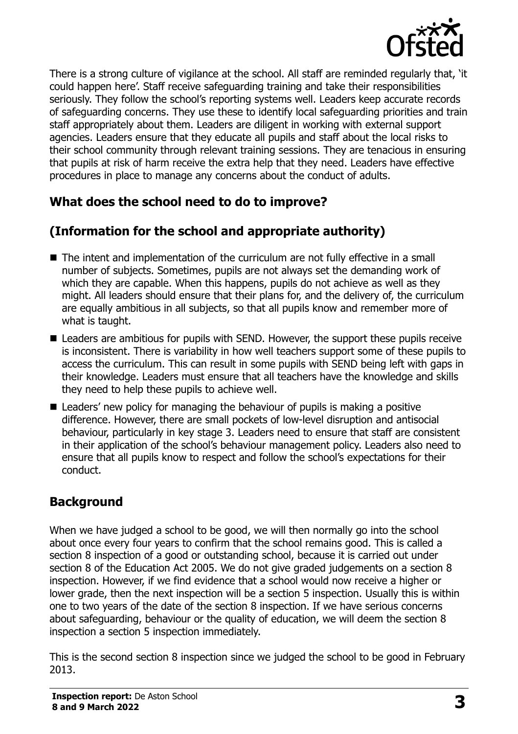

There is a strong culture of vigilance at the school. All staff are reminded regularly that, 'it could happen here'. Staff receive safeguarding training and take their responsibilities seriously. They follow the school's reporting systems well. Leaders keep accurate records of safeguarding concerns. They use these to identify local safeguarding priorities and train staff appropriately about them. Leaders are diligent in working with external support agencies. Leaders ensure that they educate all pupils and staff about the local risks to their school community through relevant training sessions. They are tenacious in ensuring that pupils at risk of harm receive the extra help that they need. Leaders have effective procedures in place to manage any concerns about the conduct of adults.

## **What does the school need to do to improve?**

## **(Information for the school and appropriate authority)**

- The intent and implementation of the curriculum are not fully effective in a small number of subjects. Sometimes, pupils are not always set the demanding work of which they are capable. When this happens, pupils do not achieve as well as they might. All leaders should ensure that their plans for, and the delivery of, the curriculum are equally ambitious in all subjects, so that all pupils know and remember more of what is taught.
- Leaders are ambitious for pupils with SEND. However, the support these pupils receive is inconsistent. There is variability in how well teachers support some of these pupils to access the curriculum. This can result in some pupils with SEND being left with gaps in their knowledge. Leaders must ensure that all teachers have the knowledge and skills they need to help these pupils to achieve well.
- Leaders' new policy for managing the behaviour of pupils is making a positive difference. However, there are small pockets of low-level disruption and antisocial behaviour, particularly in key stage 3. Leaders need to ensure that staff are consistent in their application of the school's behaviour management policy. Leaders also need to ensure that all pupils know to respect and follow the school's expectations for their conduct.

## **Background**

When we have judged a school to be good, we will then normally go into the school about once every four years to confirm that the school remains good. This is called a section 8 inspection of a good or outstanding school, because it is carried out under section 8 of the Education Act 2005. We do not give graded judgements on a section 8 inspection. However, if we find evidence that a school would now receive a higher or lower grade, then the next inspection will be a section 5 inspection. Usually this is within one to two years of the date of the section 8 inspection. If we have serious concerns about safeguarding, behaviour or the quality of education, we will deem the section 8 inspection a section 5 inspection immediately.

This is the second section 8 inspection since we judged the school to be good in February 2013.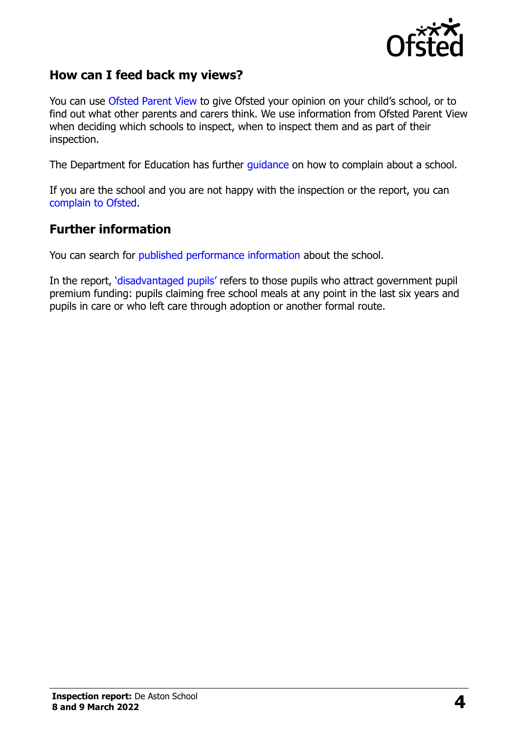

#### **How can I feed back my views?**

You can use [Ofsted Parent View](https://parentview.ofsted.gov.uk/) to give Ofsted your opinion on your child's school, or to find out what other parents and carers think. We use information from Ofsted Parent View when deciding which schools to inspect, when to inspect them and as part of their inspection.

The Department for Education has further [guidance](http://www.gov.uk/complain-about-school) on how to complain about a school.

If you are the school and you are not happy with the inspection or the report, you can [complain to Ofsted.](https://www.gov.uk/complain-ofsted-report)

#### **Further information**

You can search for [published performance information](http://www.compare-school-performance.service.gov.uk/) about the school.

In the report, '[disadvantaged pupils](http://www.gov.uk/guidance/pupil-premium-information-for-schools-and-alternative-provision-settings)' refers to those pupils who attract government pupil premium funding: pupils claiming free school meals at any point in the last six years and pupils in care or who left care through adoption or another formal route.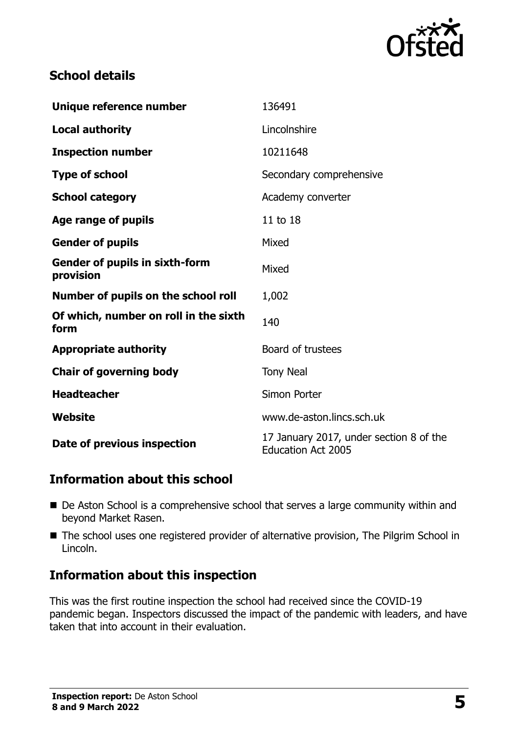

### **School details**

| Unique reference number                            | 136491                                                               |
|----------------------------------------------------|----------------------------------------------------------------------|
| <b>Local authority</b>                             | Lincolnshire                                                         |
| <b>Inspection number</b>                           | 10211648                                                             |
| <b>Type of school</b>                              | Secondary comprehensive                                              |
| <b>School category</b>                             | Academy converter                                                    |
| <b>Age range of pupils</b>                         | 11 to 18                                                             |
| <b>Gender of pupils</b>                            | Mixed                                                                |
| <b>Gender of pupils in sixth-form</b><br>provision | Mixed                                                                |
| Number of pupils on the school roll                | 1,002                                                                |
| Of which, number on roll in the sixth<br>form      | 140                                                                  |
| <b>Appropriate authority</b>                       | Board of trustees                                                    |
| <b>Chair of governing body</b>                     | <b>Tony Neal</b>                                                     |
| <b>Headteacher</b>                                 | Simon Porter                                                         |
| Website                                            | www.de-aston.lincs.sch.uk                                            |
| Date of previous inspection                        | 17 January 2017, under section 8 of the<br><b>Education Act 2005</b> |

## **Information about this school**

- De Aston School is a comprehensive school that serves a large community within and beyond Market Rasen.
- The school uses one registered provider of alternative provision, The Pilgrim School in Lincoln.

#### **Information about this inspection**

This was the first routine inspection the school had received since the COVID-19 pandemic began. Inspectors discussed the impact of the pandemic with leaders, and have taken that into account in their evaluation.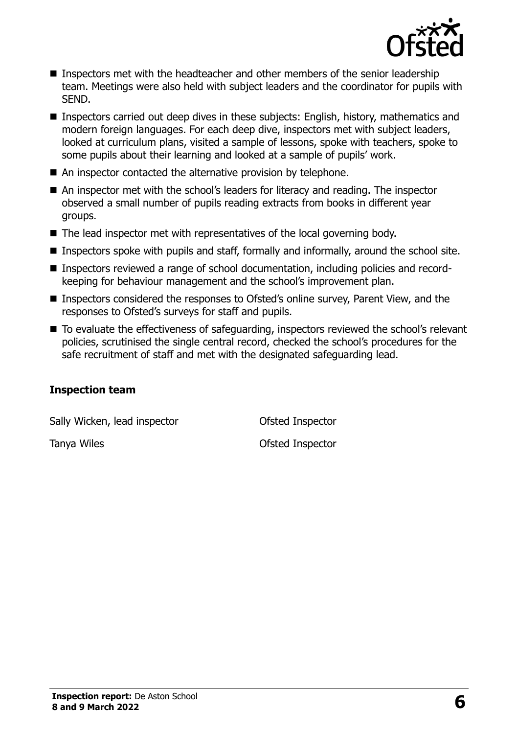

- Inspectors met with the headteacher and other members of the senior leadership team. Meetings were also held with subject leaders and the coordinator for pupils with SEND.
- Inspectors carried out deep dives in these subjects: English, history, mathematics and modern foreign languages. For each deep dive, inspectors met with subject leaders, looked at curriculum plans, visited a sample of lessons, spoke with teachers, spoke to some pupils about their learning and looked at a sample of pupils' work.
- An inspector contacted the alternative provision by telephone.
- An inspector met with the school's leaders for literacy and reading. The inspector observed a small number of pupils reading extracts from books in different year groups.
- The lead inspector met with representatives of the local governing body.
- Inspectors spoke with pupils and staff, formally and informally, around the school site.
- Inspectors reviewed a range of school documentation, including policies and recordkeeping for behaviour management and the school's improvement plan.
- Inspectors considered the responses to Ofsted's online survey, Parent View, and the responses to Ofsted's surveys for staff and pupils.
- To evaluate the effectiveness of safeguarding, inspectors reviewed the school's relevant policies, scrutinised the single central record, checked the school's procedures for the safe recruitment of staff and met with the designated safeguarding lead.

#### **Inspection team**

Sally Wicken, lead inspector **Conservation** Ofsted Inspector

Tanya Wiles **Tanya Wiles Tanya Wiles Contract Contract Contract Contract Contract Contract Contract Contract Contract Contract Contract Contract Contract Contract Contract Contract Contract Contract Contract Contract C**